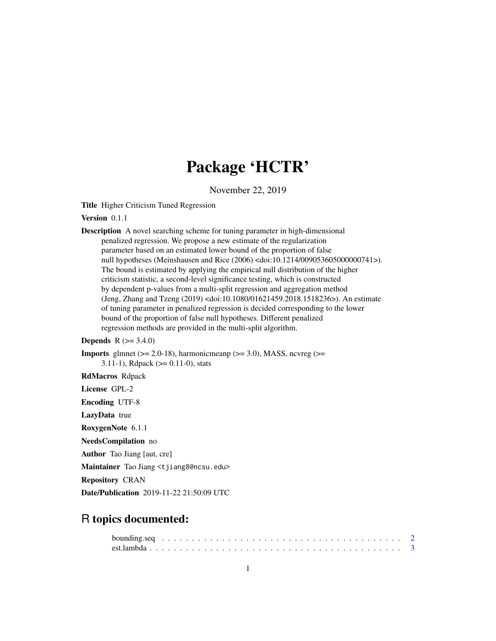# Package 'HCTR'

November 22, 2019

Title Higher Criticism Tuned Regression

Version 0.1.1

Description A novel searching scheme for tuning parameter in high-dimensional penalized regression. We propose a new estimate of the regularization parameter based on an estimated lower bound of the proportion of false null hypotheses (Meinshausen and Rice (2006) <doi:10.1214/009053605000000741>). The bound is estimated by applying the empirical null distribution of the higher criticism statistic, a second-level significance testing, which is constructed by dependent p-values from a multi-split regression and aggregation method (Jeng, Zhang and Tzeng (2019) <doi:10.1080/01621459.2018.1518236>). An estimate of tuning parameter in penalized regression is decided corresponding to the lower bound of the proportion of false null hypotheses. Different penalized regression methods are provided in the multi-split algorithm.

#### **Depends** R  $(>= 3.4.0)$

**Imports** glmnet ( $>= 2.0-18$ ), harmonicmeanp ( $>= 3.0$ ), MASS, ncvreg ( $>=$ 3.11-1), Rdpack ( $>= 0.11$ -0), stats

RdMacros Rdpack

License GPL-2

Encoding UTF-8

LazyData true

RoxygenNote 6.1.1

NeedsCompilation no

Author Tao Jiang [aut, cre]

Maintainer Tao Jiang <tjiang8@ncsu.edu>

Repository CRAN

Date/Publication 2019-11-22 21:50:09 UTC

# R topics documented: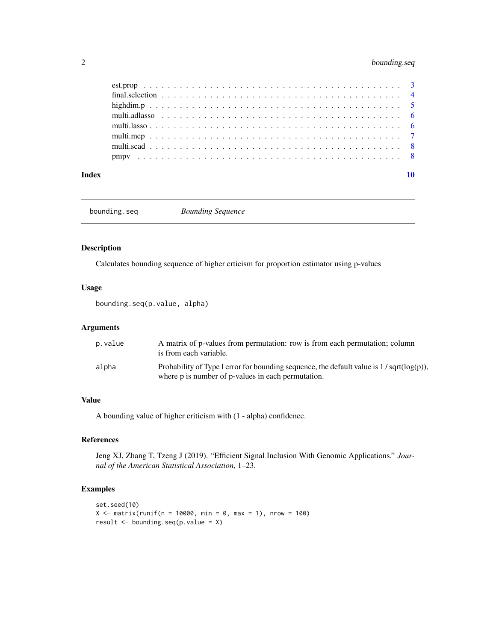# <span id="page-1-0"></span>2 bounding.seq

| Index |  |  |  |  |  |  |  |  |  |  |  |  |  |  |  |  |  |  |  |  |
|-------|--|--|--|--|--|--|--|--|--|--|--|--|--|--|--|--|--|--|--|--|
|       |  |  |  |  |  |  |  |  |  |  |  |  |  |  |  |  |  |  |  |  |
|       |  |  |  |  |  |  |  |  |  |  |  |  |  |  |  |  |  |  |  |  |
|       |  |  |  |  |  |  |  |  |  |  |  |  |  |  |  |  |  |  |  |  |
|       |  |  |  |  |  |  |  |  |  |  |  |  |  |  |  |  |  |  |  |  |
|       |  |  |  |  |  |  |  |  |  |  |  |  |  |  |  |  |  |  |  |  |
|       |  |  |  |  |  |  |  |  |  |  |  |  |  |  |  |  |  |  |  |  |
|       |  |  |  |  |  |  |  |  |  |  |  |  |  |  |  |  |  |  |  |  |
|       |  |  |  |  |  |  |  |  |  |  |  |  |  |  |  |  |  |  |  |  |

bounding.seq *Bounding Sequence*

# Description

Calculates bounding sequence of higher crticism for proportion estimator using p-values

#### Usage

bounding.seq(p.value, alpha)

# Arguments

| p.value | A matrix of p-values from permutation: row is from each permutation; column<br>is from each variable. |
|---------|-------------------------------------------------------------------------------------------------------|
| alpha   | Probability of Type I error for bounding sequence, the default value is $1/\sqrt{\sqrt{p}}(log(p))$ , |
|         | where p is number of p-values in each permutation.                                                    |

# Value

A bounding value of higher criticism with (1 - alpha) confidence.

# References

Jeng XJ, Zhang T, Tzeng J (2019). "Efficient Signal Inclusion With Genomic Applications." *Journal of the American Statistical Association*, 1–23.

# Examples

```
set.seed(10)
X \le - matrix(runif(n = 10000, min = 0, max = 1), nrow = 100)
result \leq bounding.seq(p.value = X)
```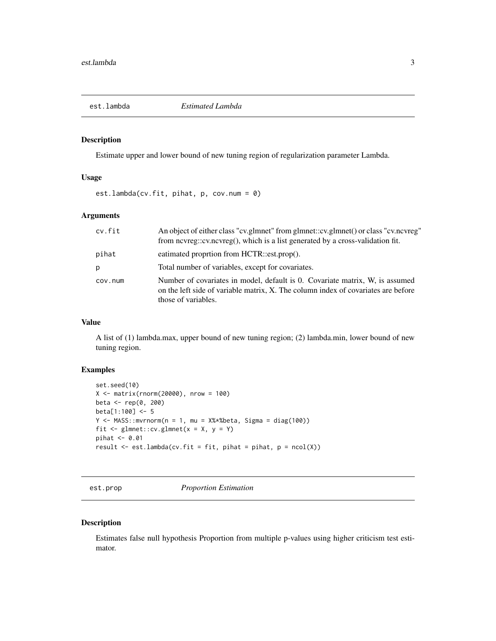<span id="page-2-0"></span>

### Description

Estimate upper and lower bound of new tuning region of regularization parameter Lambda.

### Usage

est.lambda(cv.fit, pihat, p, cov.num =  $0$ )

# Arguments

| cv.fit  | An object of either class "cv.glmnet" from glmnet::cv.glmnet() or class "cv.ncvreg"<br>from nevreg::ev.nevreg(), which is a list generated by a cross-validation fit.                    |
|---------|------------------------------------------------------------------------------------------------------------------------------------------------------------------------------------------|
| pihat   | eatimated proprtion from HCTR::est.prop().                                                                                                                                               |
| p       | Total number of variables, except for covariates.                                                                                                                                        |
| cov.num | Number of covariates in model, default is 0. Covariate matrix, W, is assumed<br>on the left side of variable matrix, X. The column index of covariates are before<br>those of variables. |

# Value

A list of (1) lambda.max, upper bound of new tuning region; (2) lambda.min, lower bound of new tuning region.

# Examples

```
set.seed(10)
X \le - matrix(rnorm(20000), nrow = 100)
beta <- rep(0, 200)
beta[1:100] <- 5
Y \leq - MASS::mvrnorm(n = 1, mu = X%*%beta, Sigma = diag(100))
fit \leq glmnet:: cv. glmnet(x = X, y = Y)
pihat <- 0.01
result \leq est.lambda(cv.fit = fit, pihat = pihat, p = ncol(X))
```
est.prop *Proportion Estimation*

#### Description

Estimates false null hypothesis Proportion from multiple p-values using higher criticism test estimator.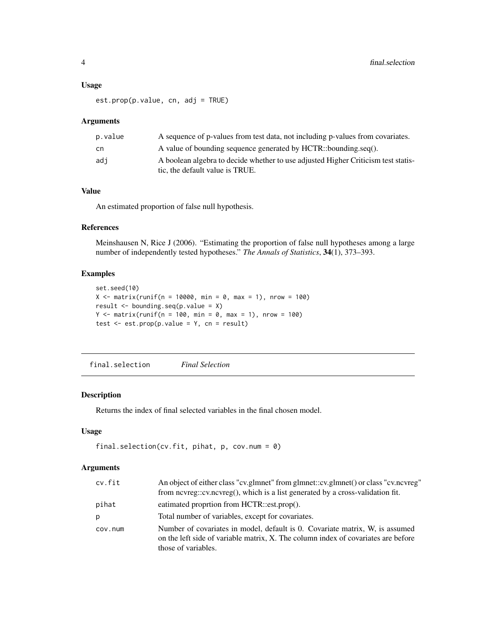#### <span id="page-3-0"></span>Usage

est.prop(p.value, cn, adj = TRUE)

#### Arguments

| p.value       | A sequence of p-values from test data, not including p-values from covariates.                                       |
|---------------|----------------------------------------------------------------------------------------------------------------------|
| <sub>cn</sub> | A value of bounding sequence generated by HCTR::bounding.seq().                                                      |
| adi           | A boolean algebra to decide whether to use adjusted Higher Criticism test statis-<br>tic, the default value is TRUE. |

# Value

An estimated proportion of false null hypothesis.

# References

Meinshausen N, Rice J (2006). "Estimating the proportion of false null hypotheses among a large number of independently tested hypotheses." *The Annals of Statistics*, 34(1), 373–393.

# Examples

```
set.seed(10)
X \le - matrix(runif(n = 10000, min = 0, max = 1), nrow = 100)
result <- bounding.seq(p.value = X)
Y \le - matrix(runif(n = 100, min = 0, max = 1), nrow = 100)
test <- est.prop(p.value = Y, cn = result)
```
final.selection *Final Selection*

### Description

Returns the index of final selected variables in the final chosen model.

# Usage

```
final.selection(cv.fit, pihat, p, cov.num = 0)
```
### Arguments

| cv.fit  | An object of either class "cv.glmnet" from glmnet::cv.glmnet() or class "cv.ncvreg"                                                                                                      |
|---------|------------------------------------------------------------------------------------------------------------------------------------------------------------------------------------------|
|         | from nevreg::ev.nevreg(), which is a list generated by a cross-validation fit.                                                                                                           |
| pihat   | eatimated proprtion from HCTR::est.prop().                                                                                                                                               |
| р       | Total number of variables, except for covariates.                                                                                                                                        |
| COV.num | Number of covariates in model, default is 0. Covariate matrix, W, is assumed<br>on the left side of variable matrix, X. The column index of covariates are before<br>those of variables. |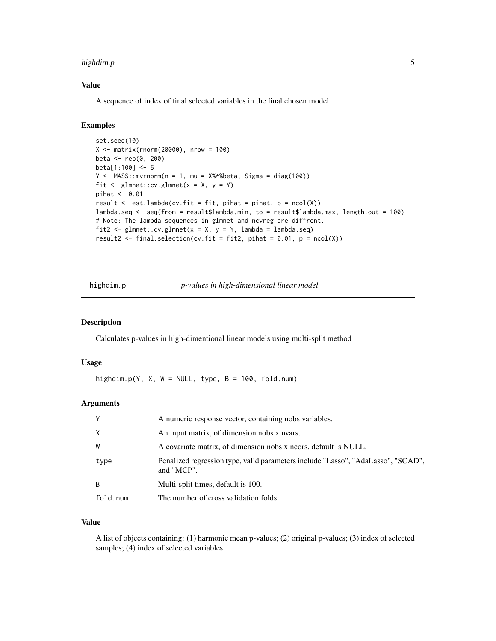#### <span id="page-4-0"></span>highdim.p 5

# Value

A sequence of index of final selected variables in the final chosen model.

#### Examples

```
set.seed(10)
X <- matrix(rnorm(20000), nrow = 100)
beta <- rep(0, 200)
beta[1:100] <- 5
Y \le - MASS::mvrnorm(n = 1, mu = X%*%beta, Sigma = diag(100))
fit \leq glmnet::cv.glmnet(x = X, y = Y)
pihat <- 0.01
result \leq est.lambda(cv.fit = fit, pihat = pihat, p = ncol(X))
lambda.seq <- seq(from = result$lambda.min, to = result$lambda.max, length.out = 100)
# Note: The lambda sequences in glmnet and ncvreg are diffrent.
fit2 <- glmnet::cv.glmnet(x = X, y = Y, lambda = lambda.seq)
result2 <- final.selection(cv.fit = fit2, pihat = 0.01, p = ncol(X))
```
highdim.p *p-values in high-dimensional linear model*

#### Description

Calculates p-values in high-dimentional linear models using multi-split method

#### Usage

highdim.p(Y, X, W = NULL, type, B = 100, fold.num)

#### Arguments

| $\mathsf{Y}$ | A numeric response vector, containing nobs variables.                                          |
|--------------|------------------------------------------------------------------------------------------------|
| $\times$     | An input matrix, of dimension nobs x nyars.                                                    |
| W            | A covariate matrix, of dimension nobs x neors, default is NULL.                                |
| type         | Penalized regression type, valid parameters include "Lasso", "AdaLasso", "SCAD",<br>and "MCP". |
| B            | Multi-split times, default is 100.                                                             |
| fold.num     | The number of cross validation folds.                                                          |

# Value

A list of objects containing: (1) harmonic mean p-values; (2) original p-values; (3) index of selected samples; (4) index of selected variables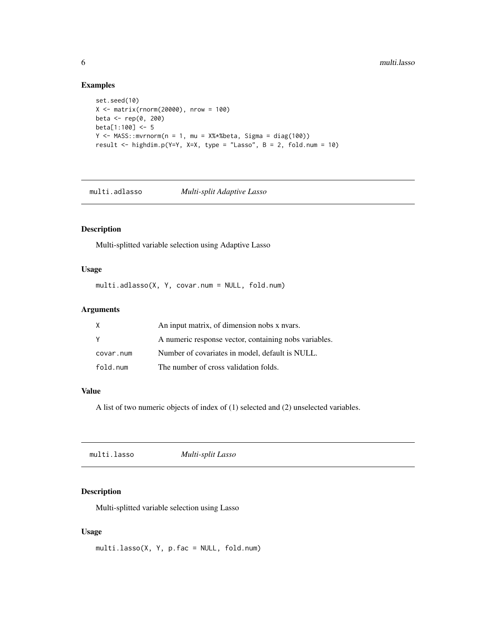# Examples

```
set.seed(10)
X <- matrix(rnorm(20000), nrow = 100)
beta <- rep(0, 200)
beta[1:100] <- 5
Y \le - MASS::mvrnorm(n = 1, mu = X%*%beta, Sigma = diag(100))
result <- highdim.p(Y=Y, X=X, type = "Lasso", B = 2, fold.num = 10)
```
multi.adlasso *Multi-split Adaptive Lasso*

# Description

Multi-splitted variable selection using Adaptive Lasso

#### Usage

multi.adlasso(X, Y, covar.num = NULL, fold.num)

#### Arguments

| Χ         | An input matrix, of dimension nobs x nyars.           |
|-----------|-------------------------------------------------------|
| Y         | A numeric response vector, containing nobs variables. |
| covar.num | Number of covariates in model, default is NULL.       |
| fold.num  | The number of cross validation folds.                 |

#### Value

A list of two numeric objects of index of (1) selected and (2) unselected variables.

|--|

# Description

Multi-splitted variable selection using Lasso

#### Usage

multi.lasso(X, Y, p.fac = NULL, fold.num)

<span id="page-5-0"></span>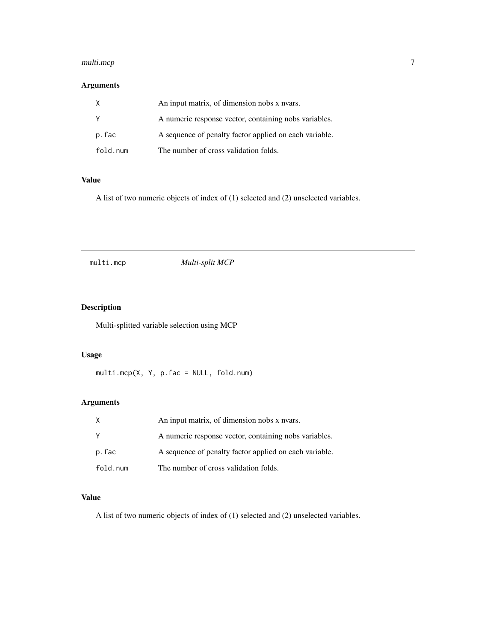# <span id="page-6-0"></span>multi.mcp 7

# Arguments

| X        | An input matrix, of dimension nobs x nvars.            |
|----------|--------------------------------------------------------|
| Y        | A numeric response vector, containing nobs variables.  |
| p.fac    | A sequence of penalty factor applied on each variable. |
| fold.num | The number of cross validation folds.                  |

# Value

A list of two numeric objects of index of (1) selected and (2) unselected variables.

# multi.mcp *Multi-split MCP*

# Description

Multi-splitted variable selection using MCP

# Usage

multi.mcp(X, Y, p.fac = NULL, fold.num)

# Arguments

|          | An input matrix, of dimension nobs x nvars.            |
|----------|--------------------------------------------------------|
| Y        | A numeric response vector, containing nobs variables.  |
| p.fac    | A sequence of penalty factor applied on each variable. |
| fold.num | The number of cross validation folds.                  |

# Value

A list of two numeric objects of index of (1) selected and (2) unselected variables.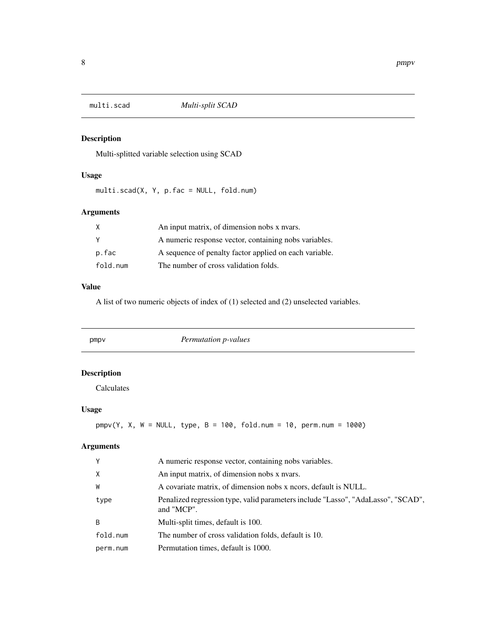<span id="page-7-0"></span>

# Description

Multi-splitted variable selection using SCAD

# Usage

multi.scad(X, Y, p.fac = NULL, fold.num)

# Arguments

| X        | An input matrix, of dimension nobs x nvars.            |
|----------|--------------------------------------------------------|
| Y        | A numeric response vector, containing nobs variables.  |
| p.fac    | A sequence of penalty factor applied on each variable. |
| fold.num | The number of cross validation folds.                  |

#### Value

A list of two numeric objects of index of (1) selected and (2) unselected variables.

| pmpy               | Permutation p-values |
|--------------------|----------------------|
| <b>Description</b> |                      |

Calculates

# Usage

 $pmpv(Y, X, W = NULL, type, B = 100, fold.num = 10, perm.num = 1000)$ 

# Arguments

| Y        | A numeric response vector, containing nobs variables.                                          |
|----------|------------------------------------------------------------------------------------------------|
| $\times$ | An input matrix, of dimension nobs x nvars.                                                    |
| W        | A covariate matrix, of dimension nobs x neors, default is NULL.                                |
| type     | Penalized regression type, valid parameters include "Lasso", "AdaLasso", "SCAD",<br>and "MCP". |
| B        | Multi-split times, default is 100.                                                             |
| fold.num | The number of cross validation folds, default is 10.                                           |
| perm.num | Permutation times, default is 1000.                                                            |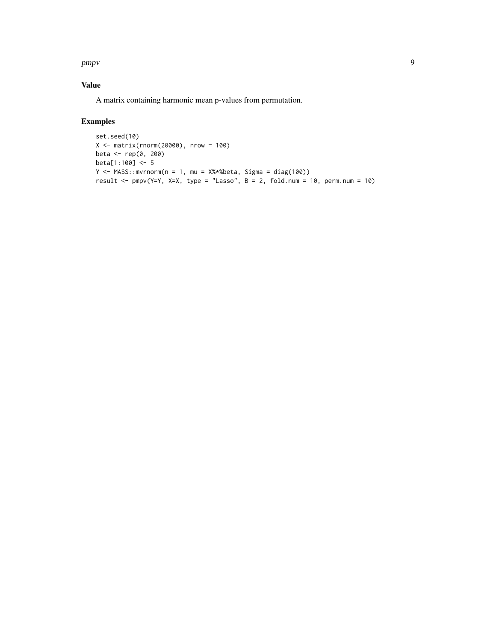pmpv 9

# Value

A matrix containing harmonic mean p-values from permutation.

# Examples

```
set.seed(10)
X \leftarrow matrix(rnorm(20000), nrow = 100)beta <- rep(0, 200)
beta[1:100] <- 5
Y <- MASS::mvrnorm(n = 1, mu = X%*%beta, Sigma = diag(100))
result <- pmpv(Y=Y, X=X, type = "Lasso", B = 2, fold.num = 10, perm.num = 10)
```